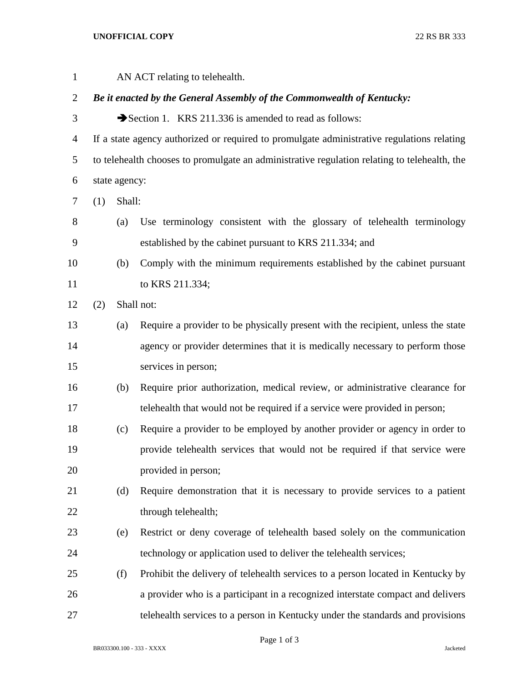## **UNOFFICIAL COPY** 22 RS BR 333

| $\mathbf{1}$   |                                                                                              |            | AN ACT relating to telehealth.                                                   |  |  |  |
|----------------|----------------------------------------------------------------------------------------------|------------|----------------------------------------------------------------------------------|--|--|--|
| $\overline{2}$ | Be it enacted by the General Assembly of the Commonwealth of Kentucky:                       |            |                                                                                  |  |  |  |
| 3              |                                                                                              |            | Section 1. KRS 211.336 is amended to read as follows:                            |  |  |  |
| $\overline{4}$ | If a state agency authorized or required to promulgate administrative regulations relating   |            |                                                                                  |  |  |  |
| 5              | to telehealth chooses to promulgate an administrative regulation relating to telehealth, the |            |                                                                                  |  |  |  |
| 6              | state agency:                                                                                |            |                                                                                  |  |  |  |
| 7              | (1)                                                                                          | Shall:     |                                                                                  |  |  |  |
| 8              |                                                                                              | (a)        | Use terminology consistent with the glossary of telehealth terminology           |  |  |  |
| 9              |                                                                                              |            | established by the cabinet pursuant to KRS 211.334; and                          |  |  |  |
| 10             |                                                                                              | (b)        | Comply with the minimum requirements established by the cabinet pursuant         |  |  |  |
| 11             |                                                                                              |            | to KRS 211.334;                                                                  |  |  |  |
| 12             | (2)                                                                                          | Shall not: |                                                                                  |  |  |  |
| 13             |                                                                                              | (a)        | Require a provider to be physically present with the recipient, unless the state |  |  |  |
| 14             |                                                                                              |            | agency or provider determines that it is medically necessary to perform those    |  |  |  |
| 15             |                                                                                              |            | services in person;                                                              |  |  |  |
| 16             |                                                                                              | (b)        | Require prior authorization, medical review, or administrative clearance for     |  |  |  |
| 17             |                                                                                              |            | telehealth that would not be required if a service were provided in person;      |  |  |  |
| 18             |                                                                                              | (c)        | Require a provider to be employed by another provider or agency in order to      |  |  |  |
| 19             |                                                                                              |            | provide telehealth services that would not be required if that service were      |  |  |  |
| 20             |                                                                                              |            | provided in person;                                                              |  |  |  |
| 21             |                                                                                              | (d)        | Require demonstration that it is necessary to provide services to a patient      |  |  |  |
| 22             |                                                                                              |            | through telehealth;                                                              |  |  |  |
| 23             |                                                                                              | (e)        | Restrict or deny coverage of telehealth based solely on the communication        |  |  |  |
| 24             |                                                                                              |            | technology or application used to deliver the telehealth services;               |  |  |  |
| 25             |                                                                                              | (f)        | Prohibit the delivery of telehealth services to a person located in Kentucky by  |  |  |  |
| 26             |                                                                                              |            | a provider who is a participant in a recognized interstate compact and delivers  |  |  |  |
| 27             |                                                                                              |            | telehealth services to a person in Kentucky under the standards and provisions   |  |  |  |

Page 1 of 3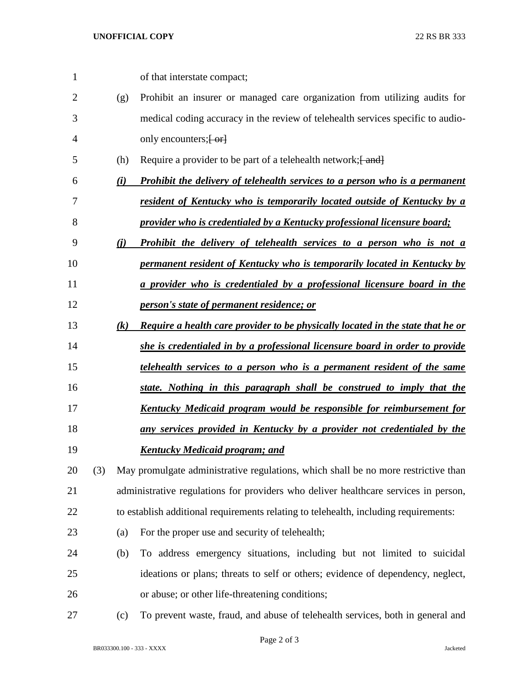| $\mathbf{1}$ |     |     | of that interstate compact;                                                          |
|--------------|-----|-----|--------------------------------------------------------------------------------------|
| 2            |     | (g) | Prohibit an insurer or managed care organization from utilizing audits for           |
| 3            |     |     | medical coding accuracy in the review of telehealth services specific to audio-      |
| 4            |     |     | only encounters; [-or]                                                               |
| 5            |     | (h) | Require a provider to be part of a telehealth network; [ and]                        |
| 6            |     | (i) | <b>Prohibit the delivery of telehealth services to a person who is a permanent</b>   |
| 7            |     |     | resident of Kentucky who is temporarily located outside of Kentucky by a             |
| 8            |     |     | provider who is credentialed by a Kentucky professional licensure board;             |
| 9            |     | (i) | Prohibit the delivery of telehealth services to a person who is not a                |
| 10           |     |     | permanent resident of Kentucky who is temporarily located in Kentucky by             |
| 11           |     |     | a provider who is credentialed by a professional licensure board in the              |
| 12           |     |     | person's state of permanent residence; or                                            |
| 13           |     | (k) | Require a health care provider to be physically located in the state that he or      |
| 14           |     |     | she is credentialed in by a professional licensure board in order to provide         |
| 15           |     |     | telehealth services to a person who is a permanent resident of the same              |
| 16           |     |     | state. Nothing in this paragraph shall be construed to imply that the                |
| 17           |     |     | Kentucky Medicaid program would be responsible for reimbursement for                 |
| 18           |     |     | any services provided in Kentucky by a provider not credentialed by the              |
| 19           |     |     | <b>Kentucky Medicaid program; and</b>                                                |
| 20           | (3) |     | May promulgate administrative regulations, which shall be no more restrictive than   |
| 21           |     |     | administrative regulations for providers who deliver healthcare services in person,  |
| 22           |     |     | to establish additional requirements relating to telehealth, including requirements: |
| 23           |     | (a) | For the proper use and security of telehealth;                                       |
| 24           |     | (b) | To address emergency situations, including but not limited to suicidal               |
| 25           |     |     | ideations or plans; threats to self or others; evidence of dependency, neglect,      |
| 26           |     |     | or abuse; or other life-threatening conditions;                                      |
| 27           |     | (c) | To prevent waste, fraud, and abuse of telehealth services, both in general and       |

Page 2 of 3